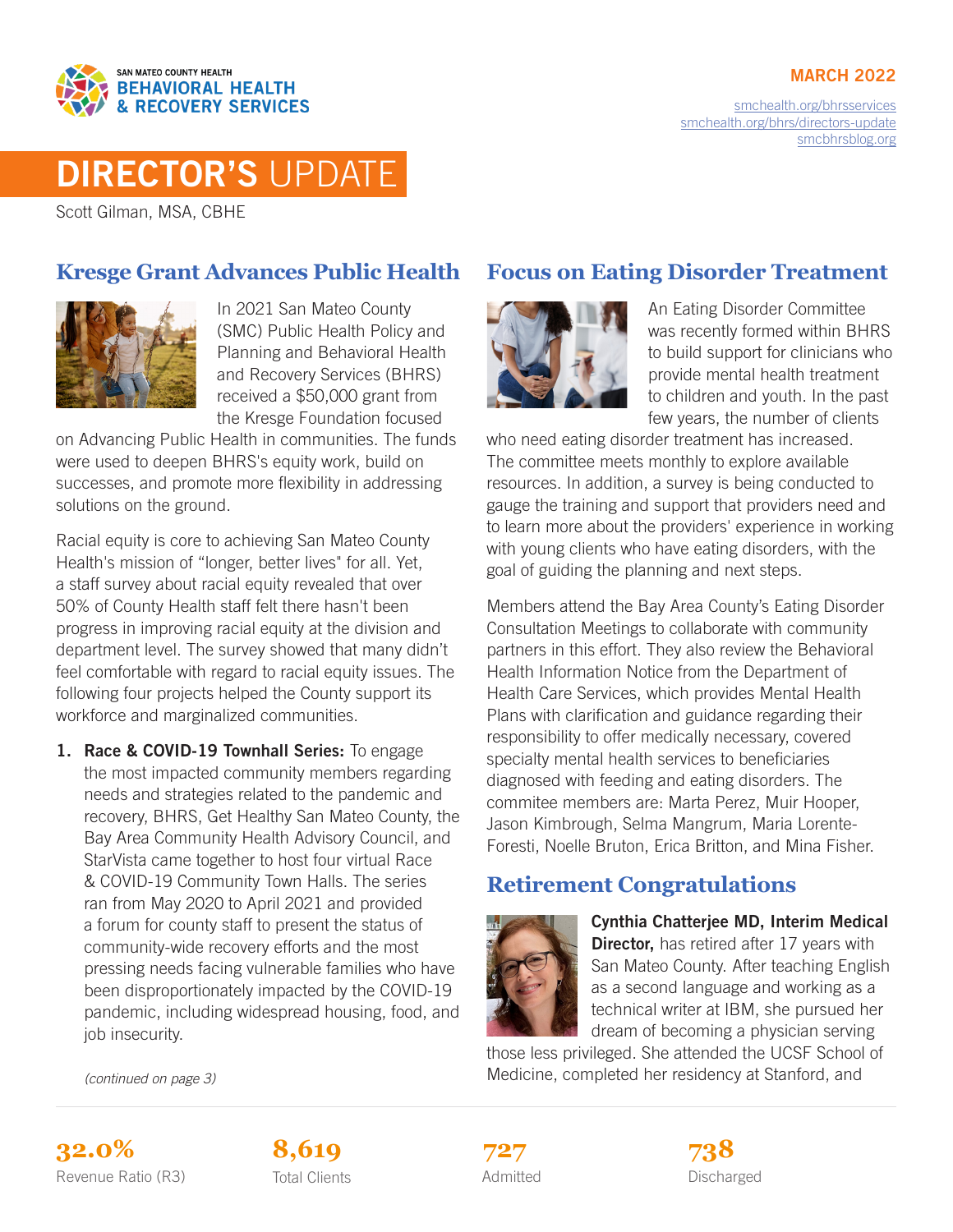#### **MARCH 2022**



[smchealth.org/bhrsservices](https://www.smchealth.org/bhrsservices) [smchealth.org/bhrs/directors-update](https://www.smchealth.org/bhrs/directors-update) [smcbhrsblog.org](http://www.smcbhrsblog.org)

# DIRECTOR'S UPDATE

Scott Gilman, MSA, CBHE

#### **Kresge Grant Advances Public Health**



In 2021 San Mateo County (SMC) Public Health Policy and Planning and Behavioral Health and Recovery Services (BHRS) received a \$50,000 grant from the Kresge Foundation focused

on Advancing Public Health in communities. The funds were used to deepen BHRS's equity work, build on successes, and promote more flexibility in addressing solutions on the ground.

Racial equity is core to achieving San Mateo County Health's mission of "longer, better lives" for all. Yet, a staff survey about racial equity revealed that over 50% of County Health staff felt there hasn't been progress in improving racial equity at the division and department level. The survey showed that many didn't feel comfortable with regard to racial equity issues. The following four projects helped the County support its workforce and marginalized communities.

1. Race & COVID-19 Townhall Series: To engage the most impacted community members regarding needs and strategies related to the pandemic and recovery, BHRS, Get Healthy San Mateo County, the Bay Area Community Health Advisory Council, and StarVista came together to host four virtual Race & COVID-19 Community Town Halls. The series ran from May 2020 to April 2021 and provided a forum for county staff to present the status of community-wide recovery efforts and the most pressing needs facing vulnerable families who have been disproportionately impacted by the COVID-19 pandemic, including widespread housing, food, and job insecurity.

## **Focus on Eating Disorder Treatment**



An Eating Disorder Committee was recently formed within BHRS to build support for clinicians who provide mental health treatment to children and youth. In the past few years, the number of clients

who need eating disorder treatment has increased. The committee meets monthly to explore available resources. In addition, a survey is being conducted to gauge the training and support that providers need and to learn more about the providers' experience in working with young clients who have eating disorders, with the goal of guiding the planning and next steps.

Members attend the Bay Area County's Eating Disorder Consultation Meetings to collaborate with community partners in this effort. They also review the Behavioral Health Information Notice from the Department of Health Care Services, which provides Mental Health Plans with clarification and guidance regarding their responsibility to offer medically necessary, covered specialty mental health services to beneficiaries diagnosed with feeding and eating disorders. The commitee members are: Marta Perez, Muir Hooper, Jason Kimbrough, Selma Mangrum, Maria Lorente-Foresti, Noelle Bruton, Erica Britton, and Mina Fisher.

#### **Retirement Congratulations**



Cynthia Chatterjee MD, Interim Medical **Director,** has retired after 17 years with San Mateo County. After teaching English as a second language and working as a technical writer at IBM, she pursued her dream of becoming a physician serving

those less privileged. She attended the UCSF School of Medicine, completed her residency at Stanford, and

*(continued on page 3)*





Admitted **727**

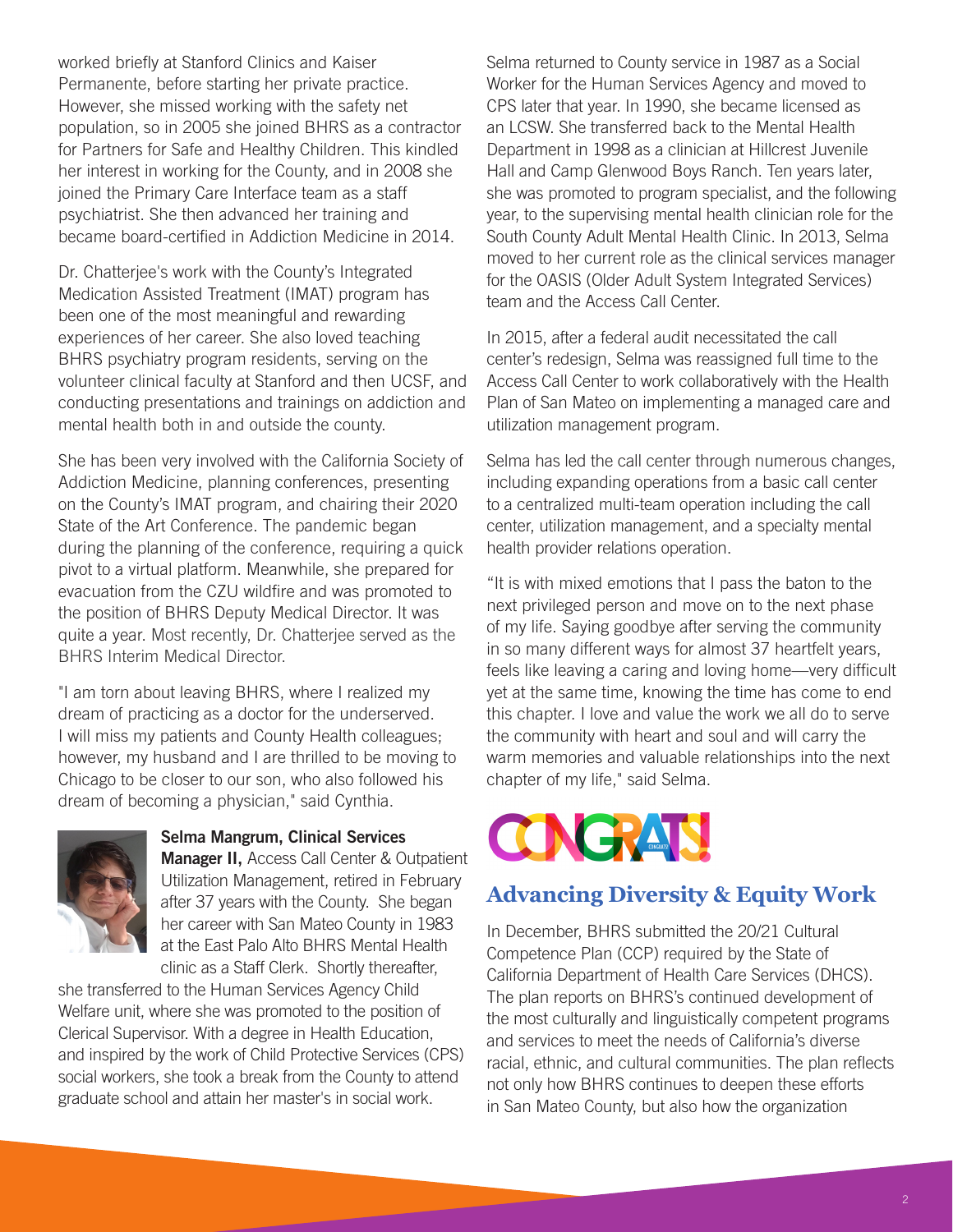worked briefly at Stanford Clinics and Kaiser Permanente, before starting her private practice. However, she missed working with the safety net population, so in 2005 she joined BHRS as a contractor for Partners for Safe and Healthy Children. This kindled her interest in working for the County, and in 2008 she joined the Primary Care Interface team as a staff psychiatrist. She then advanced her training and became board-certified in Addiction Medicine in 2014.

Dr. Chatterjee's work with the County's Integrated Medication Assisted Treatment (IMAT) program has been one of the most meaningful and rewarding experiences of her career. She also loved teaching BHRS psychiatry program residents, serving on the volunteer clinical faculty at Stanford and then UCSF, and conducting presentations and trainings on addiction and mental health both in and outside the county.

She has been very involved with the California Society of Addiction Medicine, planning conferences, presenting on the County's IMAT program, and chairing their 2020 State of the Art Conference. The pandemic began during the planning of the conference, requiring a quick pivot to a virtual platform. Meanwhile, she prepared for evacuation from the CZU wildfire and was promoted to the position of BHRS Deputy Medical Director. It was quite a year. Most recently, Dr. Chatterjee served as the BHRS Interim Medical Director.

"I am torn about leaving BHRS, where I realized my dream of practicing as a doctor for the underserved. I will miss my patients and County Health colleagues; however, my husband and I are thrilled to be moving to Chicago to be closer to our son, who also followed his dream of becoming a physician," said Cynthia.



Selma Mangrum, Clinical Services

**Manager II, Access Call Center & Outpatient** Utilization Management, retired in February after 37 years with the County. She began her career with San Mateo County in 1983 at the East Palo Alto BHRS Mental Health clinic as a Staff Clerk. Shortly thereafter,

she transferred to the Human Services Agency Child Welfare unit, where she was promoted to the position of Clerical Supervisor. With a degree in Health Education, and inspired by the work of Child Protective Services (CPS) social workers, she took a break from the County to attend graduate school and attain her master's in social work.

Selma returned to County service in 1987 as a Social Worker for the Human Services Agency and moved to CPS later that year. In 1990, she became licensed as an LCSW. She transferred back to the Mental Health Department in 1998 as a clinician at Hillcrest Juvenile Hall and Camp Glenwood Boys Ranch. Ten years later, she was promoted to program specialist, and the following year, to the supervising mental health clinician role for the South County Adult Mental Health Clinic. In 2013, Selma moved to her current role as the clinical services manager for the OASIS (Older Adult System Integrated Services) team and the Access Call Center.

In 2015, after a federal audit necessitated the call center's redesign, Selma was reassigned full time to the Access Call Center to work collaboratively with the Health Plan of San Mateo on implementing a managed care and utilization management program.

Selma has led the call center through numerous changes, including expanding operations from a basic call center to a centralized multi-team operation including the call center, utilization management, and a specialty mental health provider relations operation.

"It is with mixed emotions that I pass the baton to the next privileged person and move on to the next phase of my life. Saying goodbye after serving the community in so many different ways for almost 37 heartfelt years, feels like leaving a caring and loving home—very difficult yet at the same time, knowing the time has come to end this chapter. I love and value the work we all do to serve the community with heart and soul and will carry the warm memories and valuable relationships into the next chapter of my life," said Selma.



## **Advancing Diversity & Equity Work**

In December, BHRS submitted the 20/21 Cultural Competence Plan (CCP) required by the State of California Department of Health Care Services (DHCS). The plan reports on BHRS's continued development of the most culturally and linguistically competent programs and services to meet the needs of California's diverse racial, ethnic, and cultural communities. The plan reflects not only how BHRS continues to deepen these efforts in San Mateo County, but also how the organization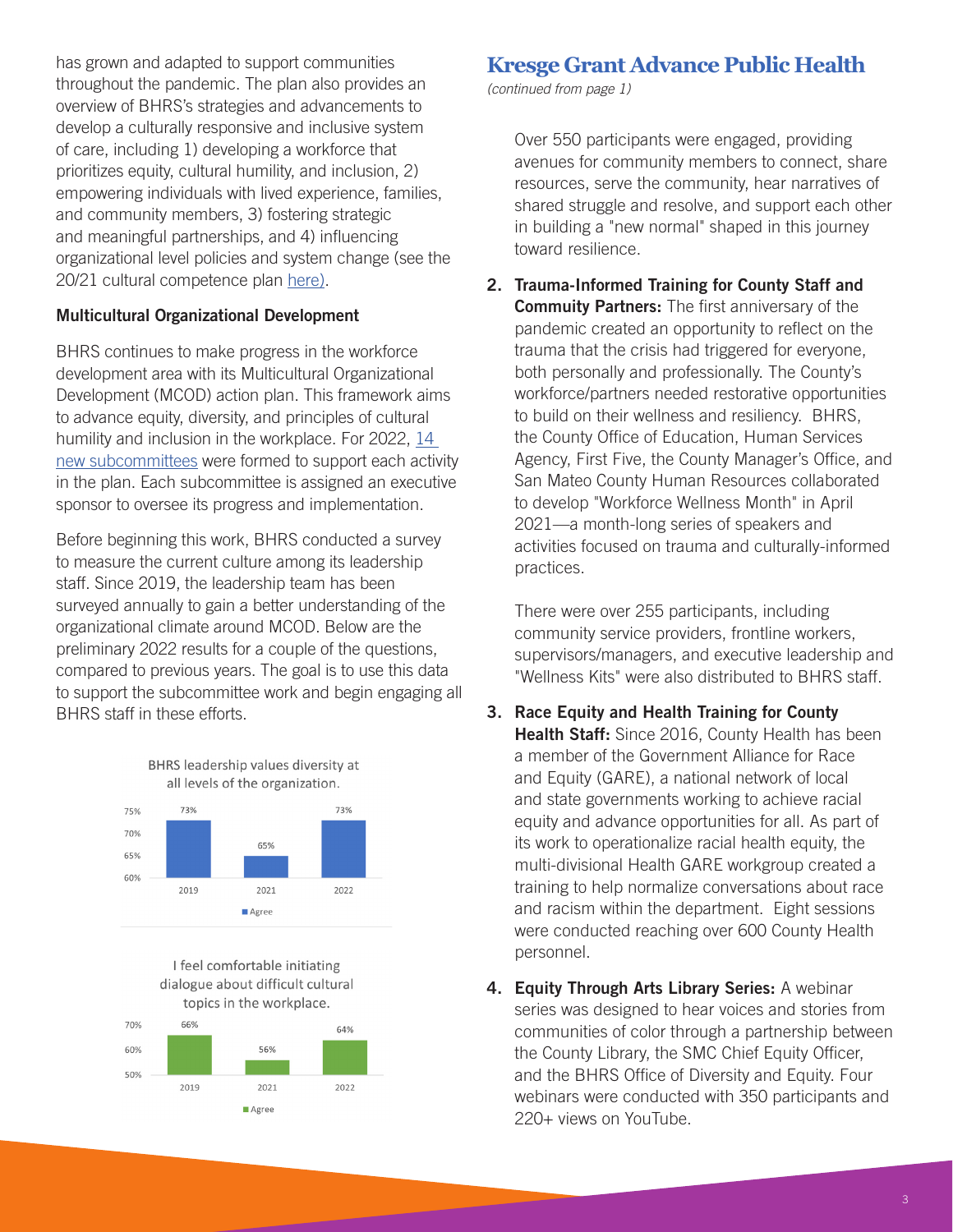has grown and adapted to support communities throughout the pandemic. The plan also provides an overview of BHRS's strategies and advancements to develop a culturally responsive and inclusive system of care, including 1) developing a workforce that prioritizes equity, cultural humility, and inclusion, 2) empowering individuals with lived experience, families, and community members, 3) fostering strategic and meaningful partnerships, and 4) influencing organizational level policies and system change (see the 20/21 cultural competence plan [here](https://www.smchealth.org/sites/main/files/file-attachments/final_smc_bhrs_ode_cultural_competency_plan_20_21_0.pdf?1642194682)).

#### Multicultural Organizational Development

BHRS continues to make progress in the workforce development area with its Multicultural Organizational Development (MCOD) action plan. This framework aims to advance equity, diversity, and principles of cultural humility and inclusion in the workplace. For 2022, [14](https://www.smchealth.org/sites/main/files/bhrs_multicultural_organizational_development_-_list_of_2022_subcommittees.pdf)  [new subcommittees](https://www.smchealth.org/sites/main/files/bhrs_multicultural_organizational_development_-_list_of_2022_subcommittees.pdf) were formed to support each activity in the plan. Each subcommittee is assigned an executive sponsor to oversee its progress and implementation.

Before beginning this work, BHRS conducted a survey to measure the current culture among its leadership staff. Since 2019, the leadership team has been surveyed annually to gain a better understanding of the organizational climate around MCOD. Below are the preliminary 2022 results for a couple of the questions, compared to previous years. The goal is to use this data to support the subcommittee work and begin engaging all BHRS staff in these efforts.







## **Kresge Grant Advance Public Health**

*(continued from page 1)*

Over 550 participants were engaged, providing avenues for community members to connect, share resources, serve the community, hear narratives of shared struggle and resolve, and support each other in building a "new normal" shaped in this journey toward resilience.

2. Trauma-Informed Training for County Staff and **Commuity Partners:** The first anniversary of the pandemic created an opportunity to reflect on the trauma that the crisis had triggered for everyone, both personally and professionally. The County's workforce/partners needed restorative opportunities to build on their wellness and resiliency. BHRS, the County Office of Education, Human Services Agency, First Five, the County Manager's Office, and San Mateo County Human Resources collaborated to develop "Workforce Wellness Month" in April 2021—a month-long series of speakers and activities focused on trauma and culturally-informed practices.

There were over 255 participants, including community service providers, frontline workers, supervisors/managers, and executive leadership and "Wellness Kits" were also distributed to BHRS staff.

- 3. Race Equity and Health Training for County Health Staff: Since 2016, County Health has been a member of the Government Alliance for Race and Equity (GARE), a national network of local and state governments working to achieve racial equity and advance opportunities for all. As part of its work to operationalize racial health equity, the multi-divisional Health GARE workgroup created a training to help normalize conversations about race and racism within the department. Eight sessions were conducted reaching over 600 County Health personnel.
- 4. Equity Through Arts Library Series: A webinar series was designed to hear voices and stories from communities of color through a partnership between the County Library, the SMC Chief Equity Officer, and the BHRS Office of Diversity and Equity. Four webinars were conducted with 350 participants and 220+ views on YouTube.